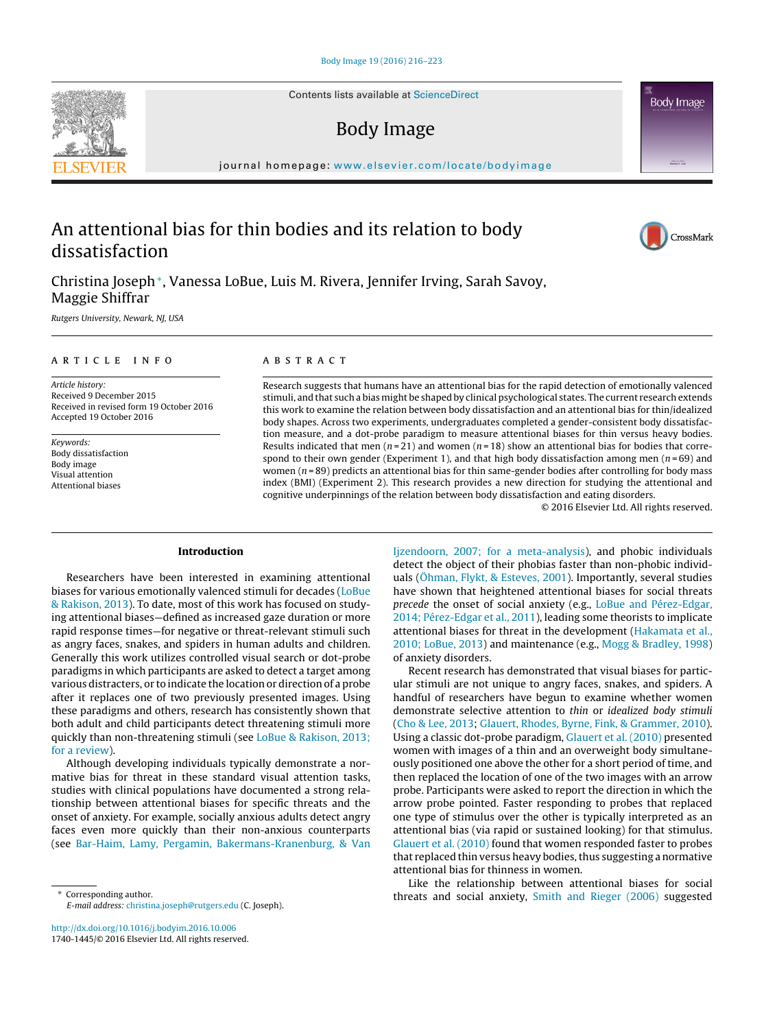Contents lists available at [ScienceDirect](http://www.sciencedirect.com/science/journal/17401445)

## Body Image

journal homepage: [www.elsevier.com/locate/bodyimage](http://www.elsevier.com/locate/bodyimage)

# An attentional bias for thin bodies and its relation to body dissatisfaction

Christina Joseph∗, Vanessa LoBue, Luis M. Rivera, Jennifer Irving, Sarah Savoy, Maggie Shiffrar

Rutgers University, Newark, NJ, USA

## article info

Article history: Received 9 December 2015 Received in revised form 19 October 2016 Accepted 19 October 2016

Keywords: Body dissatisfaction Body image Visual attention Attentional biases

## ABSTRACT

Research suggests that humans have an attentional bias for the rapid detection of emotionally valenced stimuli, and that such a bias might be shaped by clinical psychological states. The current research extends this work to examine the relation between body dissatisfaction and an attentional bias for thin/idealized body shapes. Across two experiments, undergraduates completed a gender-consistent body dissatisfaction measure, and a dot-probe paradigm to measure attentional biases for thin versus heavy bodies. Results indicated that men ( $n=21$ ) and women ( $n=18$ ) show an attentional bias for bodies that correspond to their own gender (Experiment 1), and that high body dissatisfaction among men  $(n=69)$  and women ( $n = 89$ ) predicts an attentional bias for thin same-gender bodies after controlling for body mass index (BMI) (Experiment 2). This research provides a new direction for studying the attentional and cognitive underpinnings of the relation between body dissatisfaction and eating disorders.

© 2016 Elsevier Ltd. All rights reserved.

## **Introduction**

Researchers have been interested in examining attentional biases for various emotionally valenced stimuli for decades [\(LoBue](#page-6-0) [& Rakison, 2013\).](#page-6-0) To date, most of this work has focused on studying attentional biases—defined as increased gaze duration or more rapid response times—for negative or threat-relevant stimuli such as angry faces, snakes, and spiders in human adults and children. Generally this work utilizes controlled visual search or dot-probe paradigms in which participants are asked to detect a target among various distracters, or to indicate the location or direction of a probe after it replaces one of two previously presented images. Using these paradigms and others, research has consistently shown that both adult and child participants detect threatening stimuli more quickly than non-threatening stimuli (see [LoBue & Rakison, 2013;](#page-6-0) [for a review\).](#page-6-0)

Although developing individuals typically demonstrate a normative bias for threat in these standard visual attention tasks, studies with clinical populations have documented a strong relationship between attentional biases for specific threats and the onset of anxiety. For example, socially anxious adults detect angry faces even more quickly than their non-anxious counterparts (see [Bar-Haim, Lamy, Pergamin, Bakermans-Kranenburg, & Van](#page-6-0)

∗ Corresponding author. E-mail address: [christina.joseph@rutgers.edu](mailto:christina.joseph@rutgers.edu) (C. Joseph).

[http://dx.doi.org/10.1016/j.bodyim.2016.10.006](dx.doi.org/10.1016/j.bodyim.2016.10.006) 1740-1445/© 2016 Elsevier Ltd. All rights reserved.

[Ijzendoorn, 2007; for a meta-analysis\),](#page-6-0) and phobic individuals detect the object of their phobias faster than non-phobic individuals [\(Öhman, Flykt, & Esteves, 2001\).](#page-6-0) Importantly, several studies have shown that heightened attentional biases for social threats precede the onset of social anxiety (e.g., [LoBue and Pérez-Edgar,](#page-6-0) [2014; Pérez-Edgar et al., 2011\),](#page-6-0) leading some theorists to implicate attentional biases for threat in the development [\(Hakamata et al.,](#page-6-0) [2010; LoBue, 2013\)](#page-6-0) and maintenance (e.g., [Mogg & Bradley, 1998\)](#page-6-0) of anxiety disorders.

Recent research has demonstrated that visual biases for particular stimuli are not unique to angry faces, snakes, and spiders. A handful of researchers have begun to examine whether women demonstrate selective attention to thin or idealized body stimuli [\(Cho & Lee, 2013;](#page-6-0) [Glauert, Rhodes, Byrne, Fink, & Grammer, 2010\).](#page-6-0) Using a classic dot-probe paradigm, [Glauert et al. \(2010\)](#page-6-0) presented women with images of a thin and an overweight body simultaneously positioned one above the other for a short period of time, and then replaced the location of one of the two images with an arrow probe. Participants were asked to report the direction in which the arrow probe pointed. Faster responding to probes that replaced one type of stimulus over the other is typically interpreted as an attentional bias (via rapid or sustained looking) for that stimulus. [Glauert et al. \(2010\)](#page-6-0) found that women responded faster to probes that replaced thin versus heavy bodies, thus suggesting a normative attentional bias for thinness in women.

Like the relationship between attentional biases for social threats and social anxiety, [Smith and Rieger \(2006\)](#page-7-0) suggested





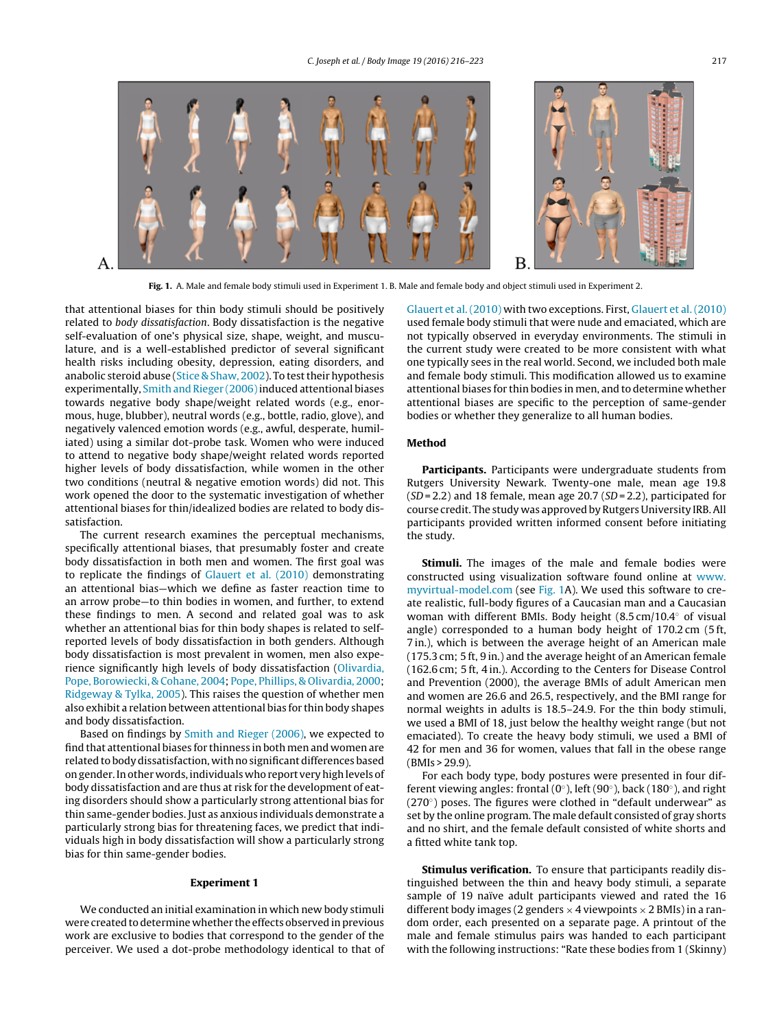<span id="page-1-0"></span>

**Fig. 1.** A. Male and female body stimuli used in Experiment 1. B. Male and female body and object stimuli used in Experiment 2.

that attentional biases for thin body stimuli should be positively related to body dissatisfaction. Body dissatisfaction is the negative self-evaluation of one's physical size, shape, weight, and musculature, and is a well-established predictor of several significant health risks including obesity, depression, eating disorders, and anabolic steroid abuse ([Stice & Shaw, 2002\).](#page-7-0) To test their hypothesis experimentally, Smith and Rieger (2006) induced attentional biases towards negative body shape/weight related words (e.g., enormous, huge, blubber), neutral words (e.g., bottle, radio, glove), and negatively valenced emotion words (e.g., awful, desperate, humiliated) using a similar dot-probe task. Women who were induced to attend to negative body shape/weight related words reported higher levels of body dissatisfaction, while women in the other two conditions (neutral & negative emotion words) did not. This work opened the door to the systematic investigation of whether attentional biases for thin/idealized bodies are related to body dissatisfaction.

The current research examines the perceptual mechanisms, specifically attentional biases, that presumably foster and create body dissatisfaction in both men and women. The first goal was to replicate the findings of [Glauert et al. \(2010\)](#page-6-0) demonstrating an attentional bias—which we define as faster reaction time to an arrow probe—to thin bodies in women, and further, to extend these findings to men. A second and related goal was to ask whether an attentional bias for thin body shapes is related to selfreported levels of body dissatisfaction in both genders. Although body dissatisfaction is most prevalent in women, men also experience significantly high levels of body dissatisfaction ([Olivardia,](#page-6-0) [Pope, Borowiecki, & Cohane, 2004;](#page-6-0) [Pope, Phillips, & Olivardia, 2000;](#page-7-0) [Ridgeway & Tylka, 2005\).](#page-7-0) This raises the question of whether men also exhibit a relation between attentional bias for thin body shapes and body dissatisfaction.

Based on findings by [Smith and Rieger \(2006\), w](#page-7-0)e expected to find that attentional biases for thinness in both men and women are related to body dissatisfaction, with no significant differences based on gender. In other words, individuals who report very high levels of body dissatisfaction and are thus at risk for the development of eating disorders should show a particularly strong attentional bias for thin same-gender bodies. Just as anxious individuals demonstrate a particularly strong bias for threatening faces, we predict that individuals high in body dissatisfaction will show a particularly strong bias for thin same-gender bodies.

## **Experiment 1**

We conducted an initial examination in which new body stimuli were created to determine whether the effects observed in previous work are exclusive to bodies that correspond to the gender of the perceiver. We used a dot-probe methodology identical to that of [Glauert et al. \(2010\)](#page-6-0) with two exceptions. First, [Glauert et al. \(2010\)](#page-6-0) used female body stimuli that were nude and emaciated, which are not typically observed in everyday environments. The stimuli in the current study were created to be more consistent with what one typically sees in the real world. Second, we included both male and female body stimuli. This modification allowed us to examine attentional biases for thin bodies in men, and to determine whether attentional biases are specific to the perception of same-gender bodies or whether they generalize to all human bodies.

#### **Method**

**Participants.** Participants were undergraduate students from Rutgers University Newark. Twenty-one male, mean age 19.8  $(SD = 2.2)$  and 18 female, mean age 20.7  $(SD = 2.2)$ , participated for course credit. The study was approved by Rutgers University IRB. All participants provided written informed consent before initiating the study.

**Stimuli.** The images of the male and female bodies were constructed using visualization software found online at [www.](http://www.myvirtual-model.com) [myvirtual-model.com](http://www.myvirtual-model.com) (see Fig. 1A). We used this software to create realistic, full-body figures of a Caucasian man and a Caucasian woman with different BMIs. Body height (8.5 cm/10.4◦ of visual angle) corresponded to a human body height of 170.2 cm (5 ft, 7 in.), which is between the average height of an American male (175.3 cm; 5 ft, 9 in.) and the average height of an American female (162.6 cm; 5 ft, 4 in.). According to the Centers for Disease Control and Prevention (2000), the average BMIs of adult American men and women are 26.6 and 26.5, respectively, and the BMI range for normal weights in adults is 18.5–24.9. For the thin body stimuli, we used a BMI of 18, just below the healthy weight range (but not emaciated). To create the heavy body stimuli, we used a BMI of 42 for men and 36 for women, values that fall in the obese range (BMIs > 29.9).

For each body type, body postures were presented in four different viewing angles: frontal (0 $\circ$ ), left (90 $\circ$ ), back (180 $\circ$ ), and right (270◦) poses. The figures were clothed in "default underwear" as set by the online program. The male default consisted of gray shorts and no shirt, and the female default consisted of white shorts and a fitted white tank top.

**Stimulus verification.** To ensure that participants readily distinguished between the thin and heavy body stimuli, a separate sample of 19 naïve adult participants viewed and rated the 16 different body images (2 genders  $\times$  4 viewpoints  $\times$  2 BMIs) in a random order, each presented on a separate page. A printout of the male and female stimulus pairs was handed to each participant with the following instructions: "Rate these bodies from 1 (Skinny)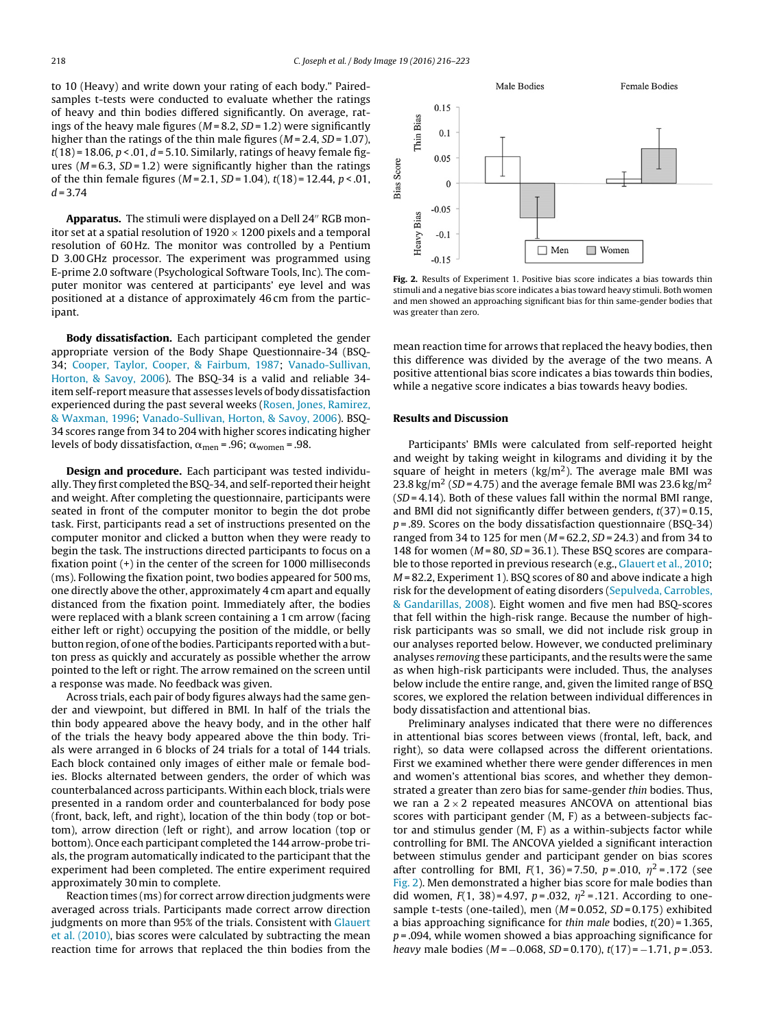to 10 (Heavy) and write down your rating of each body." Pairedsamples t-tests were conducted to evaluate whether the ratings of heavy and thin bodies differed significantly. On average, ratings of the heavy male figures ( $M = 8.2$ ,  $SD = 1.2$ ) were significantly higher than the ratings of the thin male figures ( $M = 2.4$ ,  $SD = 1.07$ ),  $t(18)$  = 18.06,  $p < 0.01$ ,  $d = 5.10$ . Similarly, ratings of heavy female figures ( $M = 6.3$ ,  $SD = 1.2$ ) were significantly higher than the ratings of the thin female figures ( $M = 2.1$ ,  $SD = 1.04$ ),  $t(18) = 12.44$ ,  $p < .01$ ,  $d = 3.74$ 

Apparatus. The stimuli were displayed on a Dell 24" RGB monitor set at a spatial resolution of  $1920 \times 1200$  pixels and a temporal resolution of 60 Hz. The monitor was controlled by a Pentium D 3.00 GHz processor. The experiment was programmed using E-prime 2.0 software (Psychological Software Tools, Inc). The computer monitor was centered at participants' eye level and was positioned at a distance of approximately 46 cm from the participant.

**Body dissatisfaction.** Each participant completed the gender appropriate version of the Body Shape Questionnaire-34 (BSQ-34; [Cooper, Taylor, Cooper, & Fairbum, 1987;](#page-6-0) [Vanado-Sullivan,](#page-7-0) [Horton, & Savoy, 2006\).](#page-7-0) The BSQ-34 is a valid and reliable 34 item self-report measure that assesses levels of body dissatisfaction experienced during the past several weeks ([Rosen, Jones, Ramirez,](#page-7-0) [& Waxman, 1996;](#page-7-0) [Vanado-Sullivan, Horton, & Savoy, 2006\).](#page-7-0) BSQ-34 scores range from 34 to 204 with higher scores indicating higher levels of body dissatisfaction,  $\alpha_{\text{men}}$  = .96;  $\alpha_{\text{woman}}$  = .98.

**Design and procedure.** Each participant was tested individually. They first completed the BSQ-34, and self-reported their height and weight. After completing the questionnaire, participants were seated in front of the computer monitor to begin the dot probe task. First, participants read a set of instructions presented on the computer monitor and clicked a button when they were ready to begin the task. The instructions directed participants to focus on a fixation point (+) in the center of the screen for 1000 milliseconds (ms). Following the fixation point, two bodies appeared for 500 ms, one directly above the other, approximately 4 cm apart and equally distanced from the fixation point. Immediately after, the bodies were replaced with a blank screen containing a 1 cm arrow (facing either left or right) occupying the position of the middle, or belly button region, of one of the bodies. Participants reported with a button press as quickly and accurately as possible whether the arrow pointed to the left or right. The arrow remained on the screen until a response was made. No feedback was given.

Across trials, each pair of body figures always had the same gender and viewpoint, but differed in BMI. In half of the trials the thin body appeared above the heavy body, and in the other half of the trials the heavy body appeared above the thin body. Trials were arranged in 6 blocks of 24 trials for a total of 144 trials. Each block contained only images of either male or female bodies. Blocks alternated between genders, the order of which was counterbalanced across participants. Within each block, trials were presented in a random order and counterbalanced for body pose (front, back, left, and right), location of the thin body (top or bottom), arrow direction (left or right), and arrow location (top or bottom). Once each participant completed the 144 arrow-probe trials, the program automatically indicated to the participant that the experiment had been completed. The entire experiment required approximately 30 min to complete.

Reaction times (ms) for correct arrow direction judgments were averaged across trials. Participants made correct arrow direction judgments on more than 95% of the trials. Consistent with [Glauert](#page-6-0) [et al. \(2010\), b](#page-6-0)ias scores were calculated by subtracting the mean reaction time for arrows that replaced the thin bodies from the



**Fig. 2.** Results of Experiment 1. Positive bias score indicates a bias towards thin stimuli and a negative bias score indicates a bias toward heavy stimuli. Both women and men showed an approaching significant bias for thin same-gender bodies that was greater than zero.

mean reaction time for arrows that replaced the heavy bodies, then this difference was divided by the average of the two means. A positive attentional bias score indicates a bias towards thin bodies, while a negative score indicates a bias towards heavy bodies.

## **Results and Discussion**

Participants' BMIs were calculated from self-reported height and weight by taking weight in kilograms and dividing it by the square of height in meters ( $\text{kg/m}^2$ ). The average male BMI was 23.8 kg/m<sup>2</sup> (SD = 4.75) and the average female BMI was 23.6 kg/m<sup>2</sup>  $(SD = 4.14)$ . Both of these values fall within the normal BMI range, and BMI did not significantly differ between genders,  $t(37) = 0.15$ ,  $p = .89$ . Scores on the body dissatisfaction questionnaire (BSQ-34) ranged from 34 to 125 for men  $(M = 62.2, SD = 24.3)$  and from 34 to 148 for women ( $M = 80$ ,  $SD = 36.1$ ). These BSQ scores are comparable to those reported in previous research (e.g., [Glauert et al., 2010;](#page-6-0) M = 82.2, Experiment 1). BSQ scores of 80 and above indicate a high risk for the development of eating disorders ([Sepulveda, Carrobles,](#page-7-0) [& Gandarillas, 2008\).](#page-7-0) Eight women and five men had BSQ-scores that fell within the high-risk range. Because the number of highrisk participants was so small, we did not include risk group in our analyses reported below. However, we conducted preliminary analyses removing these participants, and the results were the same as when high-risk participants were included. Thus, the analyses below include the entire range, and, given the limited range of BSQ scores, we explored the relation between individual differences in body dissatisfaction and attentional bias.

Preliminary analyses indicated that there were no differences in attentional bias scores between views (frontal, left, back, and right), so data were collapsed across the different orientations. First we examined whether there were gender differences in men and women's attentional bias scores, and whether they demonstrated a greater than zero bias for same-gender thin bodies. Thus, we ran a  $2 \times 2$  repeated measures ANCOVA on attentional bias scores with participant gender (M, F) as a between-subjects factor and stimulus gender (M, F) as a within-subjects factor while controlling for BMI. The ANCOVA yielded a significant interaction between stimulus gender and participant gender on bias scores after controlling for BMI,  $F(1, 36) = 7.50$ ,  $p = .010$ ,  $\eta^2 = .172$  (see Fig. 2). Men demonstrated a higher bias score for male bodies than did women,  $F(1, 38) = 4.97$ ,  $p = .032$ ,  $\eta^2 = .121$ . According to onesample t-tests (one-tailed), men  $(M=0.052, SD=0.175)$  exhibited a bias approaching significance for thin male bodies,  $t(20)$  = 1.365,  $p = .094$ , while women showed a bias approaching significance for heavy male bodies ( $M = -0.068$ ,  $SD = 0.170$ ),  $t(17) = -1.71$ ,  $p = .053$ .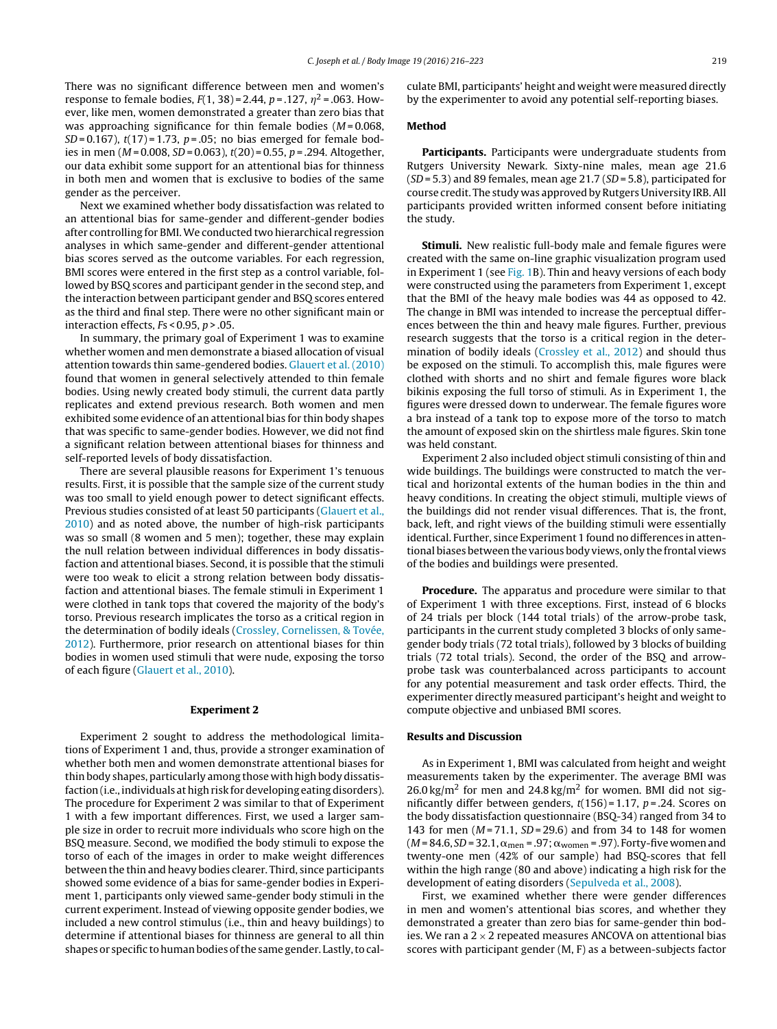There was no significant difference between men and women's response to female bodies,  $F(1, 38) = 2.44$ ,  $p = .127$ ,  $\eta^2 = .063$ . However, like men, women demonstrated a greater than zero bias that was approaching significance for thin female bodies  $(M=0.068,$  $SD = 0.167$ ),  $t(17) = 1.73$ ,  $p = .05$ ; no bias emerged for female bodies in men ( $M = 0.008$ ,  $SD = 0.063$ ),  $t(20) = 0.55$ ,  $p = .294$ . Altogether, our data exhibit some support for an attentional bias for thinness in both men and women that is exclusive to bodies of the same gender as the perceiver.

Next we examined whether body dissatisfaction was related to an attentional bias for same-gender and different-gender bodies after controlling for BMI.We conducted two hierarchical regression analyses in which same-gender and different-gender attentional bias scores served as the outcome variables. For each regression, BMI scores were entered in the first step as a control variable, followed by BSQ scores and participant gender in the second step, and the interaction between participant gender and BSQ scores entered as the third and final step. There were no other significant main or interaction effects,  $Fs < 0.95$ ,  $p > .05$ .

In summary, the primary goal of Experiment 1 was to examine whether women and men demonstrate a biased allocation of visual attention towards thin same-gendered bodies. [Glauert et al. \(2010\)](#page-6-0) found that women in general selectively attended to thin female bodies. Using newly created body stimuli, the current data partly replicates and extend previous research. Both women and men exhibited some evidence of an attentional bias for thin body shapes that was specific to same-gender bodies. However, we did not find a significant relation between attentional biases for thinness and self-reported levels of body dissatisfaction.

There are several plausible reasons for Experiment 1's tenuous results. First, it is possible that the sample size of the current study was too small to yield enough power to detect significant effects. Previous studies consisted of at least 50 participants [\(Glauert et al.,](#page-6-0) [2010\)](#page-6-0) and as noted above, the number of high-risk participants was so small (8 women and 5 men); together, these may explain the null relation between individual differences in body dissatisfaction and attentional biases. Second, it is possible that the stimuli were too weak to elicit a strong relation between body dissatisfaction and attentional biases. The female stimuli in Experiment 1 were clothed in tank tops that covered the majority of the body's torso. Previous research implicates the torso as a critical region in the determination of bodily ideals ([Crossley, Cornelissen, & Tovée,](#page-6-0) [2012\).](#page-6-0) Furthermore, prior research on attentional biases for thin bodies in women used stimuli that were nude, exposing the torso of each figure ([Glauert et al., 2010\).](#page-6-0)

## **Experiment 2**

Experiment 2 sought to address the methodological limitations of Experiment 1 and, thus, provide a stronger examination of whether both men and women demonstrate attentional biases for thin body shapes, particularly among those with high body dissatisfaction (i.e., individuals at high risk for developing eating disorders). The procedure for Experiment 2 was similar to that of Experiment 1 with a few important differences. First, we used a larger sample size in order to recruit more individuals who score high on the BSQ measure. Second, we modified the body stimuli to expose the torso of each of the images in order to make weight differences between the thin and heavy bodies clearer. Third, since participants showed some evidence of a bias for same-gender bodies in Experiment 1, participants only viewed same-gender body stimuli in the current experiment. Instead of viewing opposite gender bodies, we included a new control stimulus (i.e., thin and heavy buildings) to determine if attentional biases for thinness are general to all thin shapes or specific to human bodies of the same gender. Lastly, to calculate BMI, participants' height and weight were measured directly by the experimenter to avoid any potential self-reporting biases.

## **Method**

**Participants.** Participants were undergraduate students from Rutgers University Newark. Sixty-nine males, mean age 21.6  $(SD = 5.3)$  and 89 females, mean age 21.7  $(SD = 5.8)$ , participated for course credit. The study was approved by Rutgers University IRB. All participants provided written informed consent before initiating the study.

**Stimuli.** New realistic full-body male and female figures were created with the same on-line graphic visualization program used in Experiment 1 (see [Fig. 1B\)](#page-1-0). Thin and heavy versions of each body were constructed using the parameters from Experiment 1, except that the BMI of the heavy male bodies was 44 as opposed to 42. The change in BMI was intended to increase the perceptual differences between the thin and heavy male figures. Further, previous research suggests that the torso is a critical region in the determination of bodily ideals [\(Crossley et al., 2012\)](#page-6-0) and should thus be exposed on the stimuli. To accomplish this, male figures were clothed with shorts and no shirt and female figures wore black bikinis exposing the full torso of stimuli. As in Experiment 1, the figures were dressed down to underwear. The female figures wore a bra instead of a tank top to expose more of the torso to match the amount of exposed skin on the shirtless male figures. Skin tone was held constant.

Experiment 2 also included object stimuli consisting of thin and wide buildings. The buildings were constructed to match the vertical and horizontal extents of the human bodies in the thin and heavy conditions. In creating the object stimuli, multiple views of the buildings did not render visual differences. That is, the front, back, left, and right views of the building stimuli were essentially identical. Further, since Experiment 1 found no differences in attentional biases between the various body views, only the frontal views of the bodies and buildings were presented.

**Procedure.** The apparatus and procedure were similar to that of Experiment 1 with three exceptions. First, instead of 6 blocks of 24 trials per block (144 total trials) of the arrow-probe task, participants in the current study completed 3 blocks of only samegender body trials (72 total trials), followed by 3 blocks of building trials (72 total trials). Second, the order of the BSQ and arrowprobe task was counterbalanced across participants to account for any potential measurement and task order effects. Third, the experimenter directly measured participant's height and weight to compute objective and unbiased BMI scores.

## **Results and Discussion**

As in Experiment 1, BMI was calculated from height and weight measurements taken by the experimenter. The average BMI was  $26.0 \text{ kg/m}^2$  for men and  $24.8 \text{ kg/m}^2$  for women. BMI did not significantly differ between genders,  $t(156) = 1.17$ ,  $p = .24$ . Scores on the body dissatisfaction questionnaire (BSQ-34) ranged from 34 to 143 for men ( $M = 71.1$ ,  $SD = 29.6$ ) and from 34 to 148 for women  $(M = 84.6, SD = 32.1, \alpha_{men} = .97; \alpha_{woman} = .97)$ . Forty-five women and twenty-one men (42% of our sample) had BSQ-scores that fell within the high range (80 and above) indicating a high risk for the development of eating disorders ([Sepulveda et al., 2008\).](#page-7-0)

First, we examined whether there were gender differences in men and women's attentional bias scores, and whether they demonstrated a greater than zero bias for same-gender thin bodies. We ran a  $2 \times 2$  repeated measures ANCOVA on attentional bias scores with participant gender (M, F) as a between-subjects factor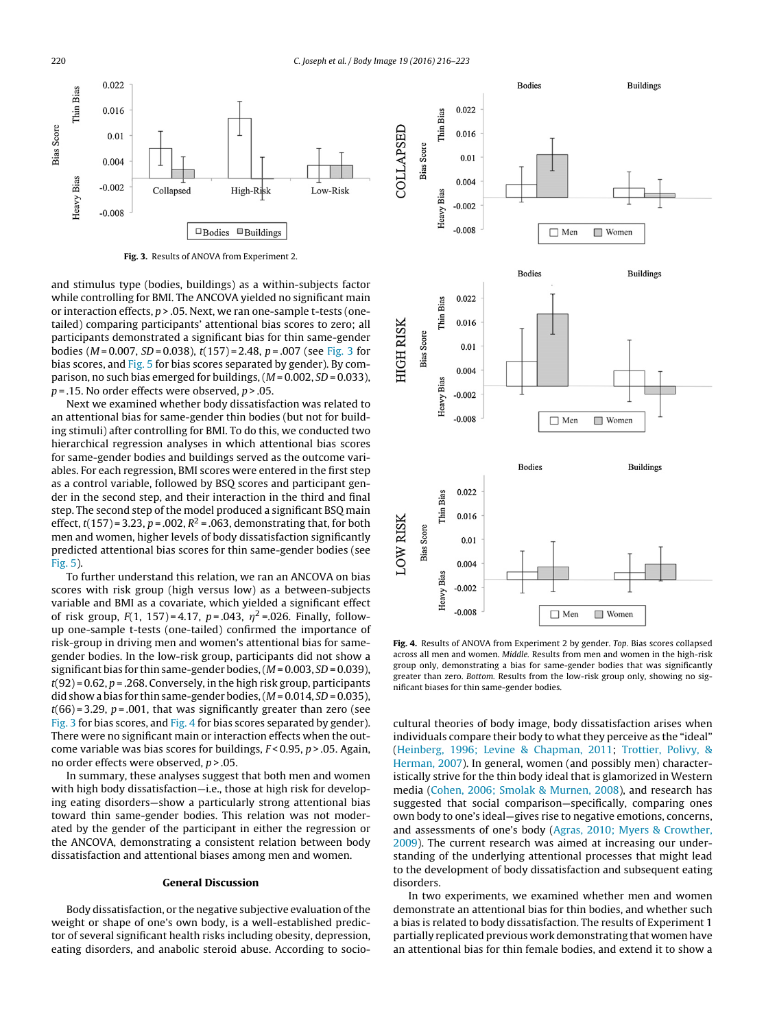

**Fig. 3.** Results of ANOVA from Experiment 2.

and stimulus type (bodies, buildings) as a within-subjects factor while controlling for BMI. The ANCOVA yielded no significant main or interaction effects,  $p > 0.05$ . Next, we ran one-sample t-tests (onetailed) comparing participants' attentional bias scores to zero; all participants demonstrated a significant bias for thin same-gender bodies ( $M = 0.007$ ,  $SD = 0.038$ ),  $t(157) = 2.48$ ,  $p = .007$  (see Fig. 3 for bias scores, and [Fig. 5](#page-5-0) for bias scores separated by gender). By comparison, no such bias emerged for buildings,  $(M = 0.002, SD = 0.033)$ ,  $p = 0.15$ . No order effects were observed,  $p > 0.05$ .

Next we examined whether body dissatisfaction was related to an attentional bias for same-gender thin bodies (but not for building stimuli) after controlling for BMI. To do this, we conducted two hierarchical regression analyses in which attentional bias scores for same-gender bodies and buildings served as the outcome variables. For each regression, BMI scores were entered in the first step as a control variable, followed by BSQ scores and participant gender in the second step, and their interaction in the third and final step. The second step of the model produced a significant BSQ main effect,  $t(157) = 3.23$ ,  $p = .002$ ,  $R^2 = .063$ , demonstrating that, for both men and women, higher levels of body dissatisfaction significantly predicted attentional bias scores for thin same-gender bodies (see [Fig. 5\).](#page-5-0)

To further understand this relation, we ran an ANCOVA on bias scores with risk group (high versus low) as a between-subjects variable and BMI as a covariate, which yielded a significant effect of risk group,  $F(1, 157) = 4.17$ ,  $p = .043$ ,  $\eta^2 = .026$ . Finally, followup one-sample t-tests (one-tailed) confirmed the importance of risk-group in driving men and women's attentional bias for samegender bodies. In the low-risk group, participants did not show a significant bias for thin same-gender bodies,  $(M = 0.003, SD = 0.039)$ ,  $t(92)$  = 0.62,  $p$  = .268. Conversely, in the high risk group, participants did show a bias for thin same-gender bodies,  $(M = 0.014, SD = 0.035)$ ,  $t(66)$  = 3.29, p = .001, that was significantly greater than zero (see Fig. 3 for bias scores, and Fig. 4 for bias scores separated by gender). There were no significant main or interaction effects when the outcome variable was bias scores for buildings,  $F < 0.95$ ,  $p > .05$ . Again, no order effects were observed, p > .05.

In summary, these analyses suggest that both men and women with high body dissatisfaction—i.e., those at high risk for developing eating disorders—show a particularly strong attentional bias toward thin same-gender bodies. This relation was not moderated by the gender of the participant in either the regression or the ANCOVA, demonstrating a consistent relation between body dissatisfaction and attentional biases among men and women.

## **General Discussion**

Body dissatisfaction, or the negative subjective evaluation of the weight or shape of one's own body, is a well-established predictor of several significant health risks including obesity, depression, eating disorders, and anabolic steroid abuse. According to socio-



**Fig. 4.** Results of ANOVA from Experiment 2 by gender. Top. Bias scores collapsed across all men and women. Middle. Results from men and women in the high-risk group only, demonstrating a bias for same-gender bodies that was significantly greater than zero. Bottom. Results from the low-risk group only, showing no significant biases for thin same-gender bodies.

cultural theories of body image, body dissatisfaction arises when individuals compare their body to what they perceive as the "ideal" [\(Heinberg, 1996; Levine & Chapman, 2011;](#page-6-0) [Trottier, Polivy, &](#page-7-0) [Herman, 2007\).](#page-7-0) In general, women (and possibly men) characteristically strive for the thin body ideal that is glamorized in Western media [\(Cohen, 2006; Smolak & Murnen, 2008\),](#page-6-0) and research has suggested that social comparison—specifically, comparing ones own body to one's ideal—gives rise to negative emotions, concerns, and assessments of one's body ([Agras, 2010; Myers & Crowther,](#page-6-0) [2009\).](#page-6-0) The current research was aimed at increasing our understanding of the underlying attentional processes that might lead to the development of body dissatisfaction and subsequent eating disorders.

In two experiments, we examined whether men and women demonstrate an attentional bias for thin bodies, and whether such a bias is related to body dissatisfaction. The results of Experiment 1 partially replicated previous work demonstrating that women have an attentional bias for thin female bodies, and extend it to show a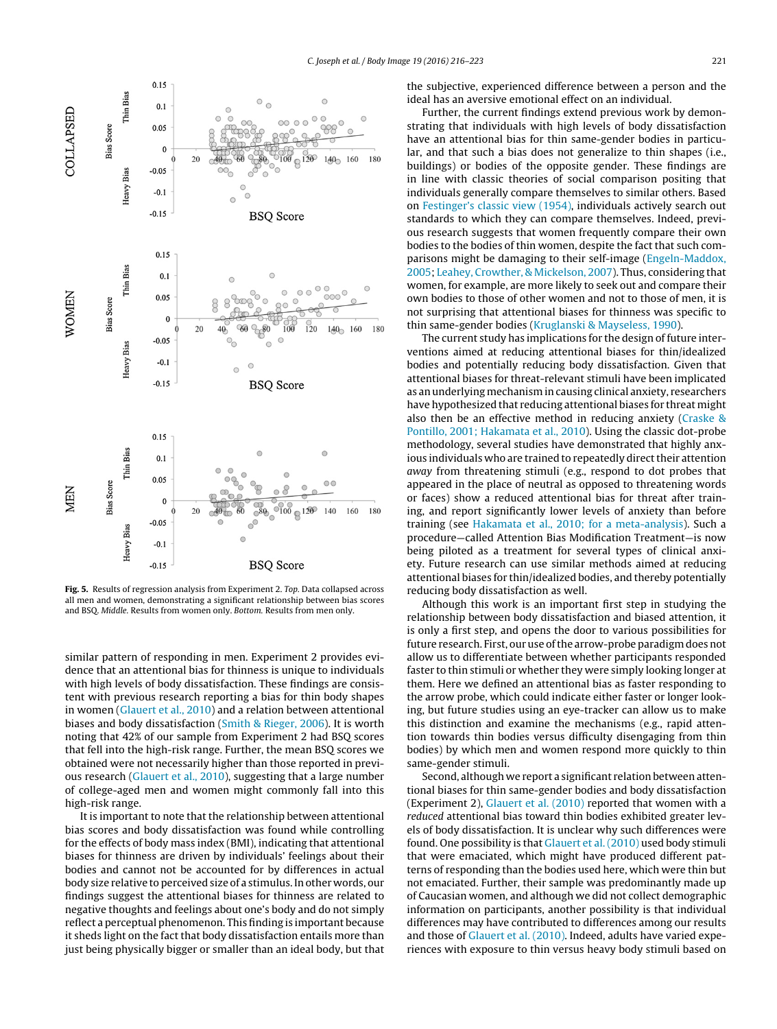<span id="page-5-0"></span>

**Fig. 5.** Results of regression analysis from Experiment 2. Top. Data collapsed across all men and women, demonstrating a significant relationship between bias scores and BSQ. Middle. Results from women only. Bottom. Results from men only.

similar pattern of responding in men. Experiment 2 provides evidence that an attentional bias for thinness is unique to individuals with high levels of body dissatisfaction. These findings are consistent with previous research reporting a bias for thin body shapes in women [\(Glauert et al., 2010\) a](#page-6-0)nd a relation between attentional biases and body dissatisfaction [\(Smith & Rieger, 2006\).](#page-7-0) It is worth noting that 42% of our sample from Experiment 2 had BSQ scores that fell into the high-risk range. Further, the mean BSQ scores we obtained were not necessarily higher than those reported in previous research [\(Glauert et al., 2010\),](#page-6-0) suggesting that a large number of college-aged men and women might commonly fall into this high-risk range.

It is important to note that the relationship between attentional bias scores and body dissatisfaction was found while controlling for the effects of body mass index (BMI), indicating that attentional biases for thinness are driven by individuals' feelings about their bodies and cannot not be accounted for by differences in actual body size relative to perceived size of a stimulus. In other words, our findings suggest the attentional biases for thinness are related to negative thoughts and feelings about one's body and do not simply reflect a perceptual phenomenon. This finding is important because it sheds light on the fact that body dissatisfaction entails more than just being physically bigger or smaller than an ideal body, but that the subjective, experienced difference between a person and the ideal has an aversive emotional effect on an individual.

Further, the current findings extend previous work by demonstrating that individuals with high levels of body dissatisfaction have an attentional bias for thin same-gender bodies in particular, and that such a bias does not generalize to thin shapes (i.e., buildings) or bodies of the opposite gender. These findings are in line with classic theories of social comparison positing that individuals generally compare themselves to similar others. Based on [Festinger's classic view \(1954\), i](#page-6-0)ndividuals actively search out standards to which they can compare themselves. Indeed, previous research suggests that women frequently compare their own bodies to the bodies of thin women, despite the fact that such comparisons might be damaging to their self-image [\(Engeln-Maddox,](#page-6-0) [2005;](#page-6-0) [Leahey, Crowther, & Mickelson, 2007\).](#page-6-0) Thus, considering that women, for example, are more likely to seek out and compare their own bodies to those of other women and not to those of men, it is not surprising that attentional biases for thinness was specific to thin same-gender bodies [\(Kruglanski & Mayseless, 1990\).](#page-6-0)

The current study has implications for the design of future interventions aimed at reducing attentional biases for thin/idealized bodies and potentially reducing body dissatisfaction. Given that attentional biases for threat-relevant stimuli have been implicated as an underlying mechanism in causing clinical anxiety, researchers have hypothesized that reducing attentional biases for threat might also then be an effective method in reducing anxiety [\(Craske &](#page-6-0) [Pontillo, 2001; Hakamata et al., 2010\).](#page-6-0) Using the classic dot-probe methodology, several studies have demonstrated that highly anxious individuals who are trained to repeatedly direct their attention away from threatening stimuli (e.g., respond to dot probes that appeared in the place of neutral as opposed to threatening words or faces) show a reduced attentional bias for threat after training, and report significantly lower levels of anxiety than before training (see [Hakamata et al., 2010; for a meta-analysis\).](#page-6-0) Such a procedure—called Attention Bias Modification Treatment—is now being piloted as a treatment for several types of clinical anxiety. Future research can use similar methods aimed at reducing attentional biases for thin/idealized bodies, and thereby potentially reducing body dissatisfaction as well.

Although this work is an important first step in studying the relationship between body dissatisfaction and biased attention, it is only a first step, and opens the door to various possibilities for future research. First, our use of the arrow-probe paradigm does not allow us to differentiate between whether participants responded faster to thin stimuli or whether they were simply looking longer at them. Here we defined an attentional bias as faster responding to the arrow probe, which could indicate either faster or longer looking, but future studies using an eye-tracker can allow us to make this distinction and examine the mechanisms (e.g., rapid attention towards thin bodies versus difficulty disengaging from thin bodies) by which men and women respond more quickly to thin same-gender stimuli.

Second, although we report a significant relation between attentional biases for thin same-gender bodies and body dissatisfaction (Experiment 2), [Glauert et al. \(2010\)](#page-6-0) reported that women with a reduced attentional bias toward thin bodies exhibited greater levels of body dissatisfaction. It is unclear why such differences were found. One possibility is that [Glauert et al. \(2010\)](#page-6-0) used body stimuli that were emaciated, which might have produced different patterns of responding than the bodies used here, which were thin but not emaciated. Further, their sample was predominantly made up of Caucasian women, and although we did not collect demographic information on participants, another possibility is that individual differences may have contributed to differences among our results and those of [Glauert et al. \(2010\). I](#page-6-0)ndeed, adults have varied experiences with exposure to thin versus heavy body stimuli based on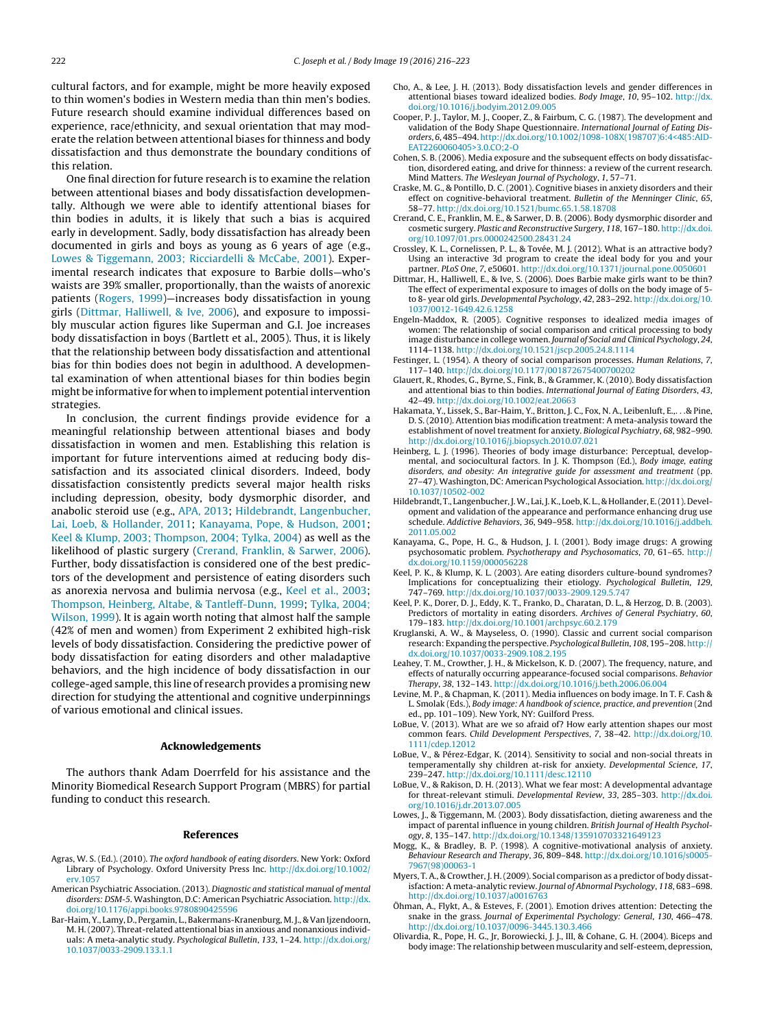<span id="page-6-0"></span>cultural factors, and for example, might be more heavily exposed to thin women's bodies in Western media than thin men's bodies. Future research should examine individual differences based on experience, race/ethnicity, and sexual orientation that may moderate the relation between attentional biases for thinness and body dissatisfaction and thus demonstrate the boundary conditions of this relation.

One final direction for future research is to examine the relation between attentional biases and body dissatisfaction developmentally. Although we were able to identify attentional biases for thin bodies in adults, it is likely that such a bias is acquired early in development. Sadly, body dissatisfaction has already been documented in girls and boys as young as 6 years of age (e.g., Lowes & Tiggemann, 2003; Ricciardelli & McCabe, 2001). Experimental research indicates that exposure to Barbie dolls—who's waists are 39% smaller, proportionally, than the waists of anorexic patients [\(Rogers, 1999\)—](#page-7-0)increases body dissatisfaction in young girls (Dittmar, Halliwell, & Ive, 2006), and exposure to impossibly muscular action figures like Superman and G.I. Joe increases body dissatisfaction in boys (Bartlett et al., 2005). Thus, it is likely that the relationship between body dissatisfaction and attentional bias for thin bodies does not begin in adulthood. A developmental examination of when attentional biases for thin bodies begin might be informative for when to implement potential intervention strategies.

In conclusion, the current findings provide evidence for a meaningful relationship between attentional biases and body dissatisfaction in women and men. Establishing this relation is important for future interventions aimed at reducing body dissatisfaction and its associated clinical disorders. Indeed, body dissatisfaction consistently predicts several major health risks including depression, obesity, body dysmorphic disorder, and anabolic steroid use (e.g., APA, 2013; Hildebrandt, Langenbucher, Lai, Loeb, & Hollander, 2011; Kanayama, Pope, & Hudson, 2001; Keel & Klump, 2003; Thompson, 2004; Tylka, 2004) as well as the likelihood of plastic surgery (Crerand, Franklin, & Sarwer, 2006). Further, body dissatisfaction is considered one of the best predictors of the development and persistence of eating disorders such as anorexia nervosa and bulimia nervosa (e.g., Keel et al., 2003; [Thompson, Heinberg, Altabe, & Tantleff-Dunn, 1999;](#page-7-0) [Tylka, 2004;](#page-7-0) [Wilson, 1999\).](#page-7-0) It is again worth noting that almost half the sample (42% of men and women) from Experiment 2 exhibited high-risk levels of body dissatisfaction. Considering the predictive power of body dissatisfaction for eating disorders and other maladaptive behaviors, and the high incidence of body dissatisfaction in our college-aged sample, this line of research provides a promising new direction for studying the attentional and cognitive underpinnings of various emotional and clinical issues.

## **Acknowledgements**

The authors thank Adam Doerrfeld for his assistance and the Minority Biomedical Research Support Program (MBRS) for partial funding to conduct this research.

#### **References**

- Agras, W. S. (Ed.). (2010). The oxford handbook of eating disorders. New York: Oxford Library of Psychology. Oxford University Press Inc. [http://dx.doi.org/10.1002/](dx.doi.org/10.1002/erv.1057) [erv.1057](dx.doi.org/10.1002/erv.1057)
- American Psychiatric Association. (2013). Diagnostic and statistical manual of mental disorders: DSM-5. Washington, D.C: American Psychiatric Association. [http://dx.](dx.doi.org/10.1176/appi.books.9780890425596) [doi.org/10.1176/appi.books.9780890425596](dx.doi.org/10.1176/appi.books.9780890425596)
- Bar-Haim, Y., Lamy, D., Pergamin, L., Bakermans-Kranenburg, M. J., & Van Ijzendoorn, M. H. (2007). Threat-related attentional bias in anxious and nonanxious individuals: A meta-analytic study. Psychological Bulletin, 133, 1–24. [http://dx.doi.org/](dx.doi.org/10.1037/0033-2909.133.1.1) [10.1037/0033-2909.133.1.1](dx.doi.org/10.1037/0033-2909.133.1.1)
- Cho, A., & Lee, J. H. (2013). Body dissatisfaction levels and gender differences in attentional biases toward idealized bodies. Body Image, 10, 95–102. [http://dx.](dx.doi.org/10.1016/j.bodyim.2012.09.005) [doi.org/10.1016/j.bodyim.2012.09.005](dx.doi.org/10.1016/j.bodyim.2012.09.005)
- Cooper, P. J., Taylor, M. J., Cooper, Z., & Fairbum, C. G. (1987). The development and validation of the Body Shape Questionnaire. International Journal of Eating Disorders, 6, 485–494. [http://dx.doi.org/10.1002/1098-108X\(198707\)6:4<485:AID-](dx.doi.org/10.1002/1098-108X(198707)6:4<485:AID-EAT2260060405>3.0.CO;2-O)[EAT2260060405>3.0.CO;2-O](dx.doi.org/10.1002/1098-108X(198707)6:4<485:AID-EAT2260060405>3.0.CO;2-O)
- Cohen, S. B. (2006). Media exposure and the subsequent effects on body dissatisfaction, disordered eating, and drive for thinness: a review of the current research. Mind Matters. The Wesleyan Journal of Psychology, 1, 57–71.
- Craske, M. G., & Pontillo, D. C. (2001). Cognitive biases in anxiety disorders and their effect on cognitive-behavioral treatment. Bulletin of the Menninger Clinic, 65, 58–77. [http://dx.doi.org/10.1521/bumc.65.1.58.18708](dx.doi.org/10.1521/bumc.65.1.58.18708)
- Crerand, C. E., Franklin, M. E., & Sarwer, D. B. (2006). Body dysmorphic disorder and cosmetic surgery. Plastic and Reconstructive Surgery, 118, 167–180. [http://dx.doi.](dx.doi.org/10.1097/01.prs.0000242500.28431.24) [org/10.1097/01.prs.0000242500.28431.24](dx.doi.org/10.1097/01.prs.0000242500.28431.24)
- Crossley, K. L., Cornelissen, P. L., & Tovée, M. J. (2012). What is an attractive body? Using an interactive 3d program to create the ideal body for you and your partner. PLoS One, 7, e50601. [http://dx.doi.org/10.1371/journal.pone.0050601](dx.doi.org/10.1371/journal.pone.0050601)
- Dittmar, H., Halliwell, E., & Ive, S. (2006). Does Barbie make girls want to be thin? The effect of experimental exposure to images of dolls on the body image of 5 to 8- year old girls. Developmental Psychology, 42, 283–292. [http://dx.doi.org/10.](dx.doi.org/10.1037/0012-1649.42.6.1258) [1037/0012-1649.42.6.1258](dx.doi.org/10.1037/0012-1649.42.6.1258)
- Engeln-Maddox, R. (2005). Cognitive responses to idealized media images of women: The relationship of social comparison and critical processing to body image disturbance in college women. Journal of Social and Clinical Psychology, 24, 1114–1138. [http://dx.doi.org/10.1521/jscp.2005.24.8.1114](dx.doi.org/10.1521/jscp.2005.24.8.1114)
- Festinger, L. (1954). A theory of social comparison processes. Human Relations, 7, 117–140. [http://dx.doi.org/10.1177/001872675400700202](dx.doi.org/10.1177/001872675400700202)
- Glauert, R., Rhodes, G., Byrne, S., Fink, B., & Grammer, K. (2010). Body dissatisfaction and attentional bias to thin bodies. International Journal of Eating Disorders, 43, 42–49. [http://dx.doi.org/10.1002/eat.20663](dx.doi.org/10.1002/eat.20663)
- Hakamata, Y., Lissek, S., Bar-Haim, Y., Britton, J. C., Fox, N. A., Leibenluft, E.,...& Pine, D. S. (2010). Attention bias modification treatment: A meta-analysis toward the establishment of novel treatment for anxiety. Biological Psychiatry, 68, 982–990. [http://dx.doi.org/10.1016/j.biopsych.2010.07.021](dx.doi.org/10.1016/j.biopsych.2010.07.021)
- Heinberg, L. J. (1996). Theories of body image disturbance: Perceptual, developmental, and sociocultural factors. In J. K. Thompson (Ed.), Body image, eating disorders, and obesity: An integrative guide for assessment and treatment (pp. 27–47).Washington, DC: American Psychological Association. [http://dx.doi.org/](dx.doi.org/10.1037/10502-002) [10.1037/10502-002](dx.doi.org/10.1037/10502-002)
- Hildebrandt, T., Langenbucher, J.W., Lai, J. K., Loeb, K. L., & Hollander, E. (2011). Development and validation of the appearance and performance enhancing drug use schedule. Addictive Behaviors, 36, 949–958. [http://dx.doi.org/10.1016/j.addbeh.](dx.doi.org/10.1016/j.addbeh.2011.05.002) [2011.05.002](dx.doi.org/10.1016/j.addbeh.2011.05.002)
- Kanayama, G., Pope, H. G., & Hudson, J. I. (2001). Body image drugs: A growing psychosomatic problem. Psychotherapy and Psychosomatics, 70, 61–65. [http://](dx.doi.org/10.1159/000056228) <dx.doi.org/10.1159/000056228>
- Keel, P. K., & Klump, K. L. (2003). Are eating disorders culture-bound syndromes? Implications for conceptualizing their etiology. Psychological Bulletin, 129, 747–769. [http://dx.doi.org/10.1037/0033-2909.129.5.747](dx.doi.org/10.1037/0033-2909.129.5.747)
- Keel, P. K., Dorer, D. J., Eddy, K. T., Franko, D., Charatan, D. L., & Herzog, D. B. (2003). Predictors of mortality in eating disorders. Archives of General Psychiatry, 60, 179–183. [http://dx.doi.org/10.1001/archpsyc.60.2.179](dx.doi.org/10.1001/archpsyc.60.2.179)
- Kruglanski, A. W., & Mayseless, O. (1990). Classic and current social comparison research: Expanding the perspective. Psychological Bulletin, 108, 195–208. [http://](dx.doi.org/10.1037/0033-2909.108.2.195) <dx.doi.org/10.1037/0033-2909.108.2.195>
- Leahey, T. M., Crowther, J. H., & Mickelson, K. D. (2007). The frequency, nature, and effects of naturally occurring appearance-focused social comparisons. Behavior Therapy, 38, 132–143. [http://dx.doi.org/10.1016/j.beth.2006.06.004](dx.doi.org/10.1016/j.beth.2006.06.004)
- Levine, M. P., & Chapman, K. (2011). Media influences on body image. In T. F. Cash & L. Smolak (Eds.), Body image: A handbook of science, practice, and prevention (2nd ed., pp. 101–109). New York, NY: Guilford Press.
- LoBue, V. (2013). What are we so afraid of? How early attention shapes our most common fears. Child Development Perspectives, 7, 38–42. [http://dx.doi.org/10.](dx.doi.org/10.1111/cdep.12012) [1111/cdep.12012](dx.doi.org/10.1111/cdep.12012)
- LoBue, V., & Pérez-Edgar, K. (2014). Sensitivity to social and non-social threats in temperamentally shy children at-risk for anxiety. Developmental Science, 17, 239–247. [http://dx.doi.org/10.1111/desc.12110](dx.doi.org/10.1111/desc.12110)
- LoBue, V., & Rakison, D. H. (2013). What we fear most: A developmental advantage for threat-relevant stimuli. Developmental Review, 33, 285–303. [http://dx.doi.](dx.doi.org/10.1016/j.dr.2013.07.005) [org/10.1016/j.dr.2013.07.005](dx.doi.org/10.1016/j.dr.2013.07.005)
- Lowes, J., & Tiggemann, M. (2003). Body dissatisfaction, dieting awareness and the impact of parental influence in young children. British Journal of Health Psychology, 8, 135–147. [http://dx.doi.org/10.1348/135910703321649123](dx.doi.org/10.1348/135910703321649123)
- Mogg, K., & Bradley, B. P. (1998). A cognitive-motivational analysis of anxiety. Behaviour Research and Therapy, 36, 809–848. [http://dx.doi.org/10.1016/s0005-](dx.doi.org/10.1016/s0005-7967(98)00063-1) [7967\(98\)00063-1](dx.doi.org/10.1016/s0005-7967(98)00063-1)
- Myers, T. A., & Crowther, J. H. (2009). Social comparison as a predictor of body dissatisfaction: A meta-analytic review. Journal of Abnormal Psychology, 118, 683–698. [http://dx.doi.org/10.1037/a0016763](dx.doi.org/10.1037/a0016763)
- Öhman, A., Flykt, A., & Esteves, F. (2001). Emotion drives attention: Detecting the snake in the grass. Journal of Experimental Psychology: General, 130, 466–478. [http://dx.doi.org/10.1037/0096-3445.130.3.466](dx.doi.org/10.1037/0096-3445.130.3.466)
- Olivardia, R., Pope, H. G., Jr, Borowiecki, J. J., III, & Cohane, G. H. (2004). Biceps and body image: The relationship between muscularity and self-esteem, depression,